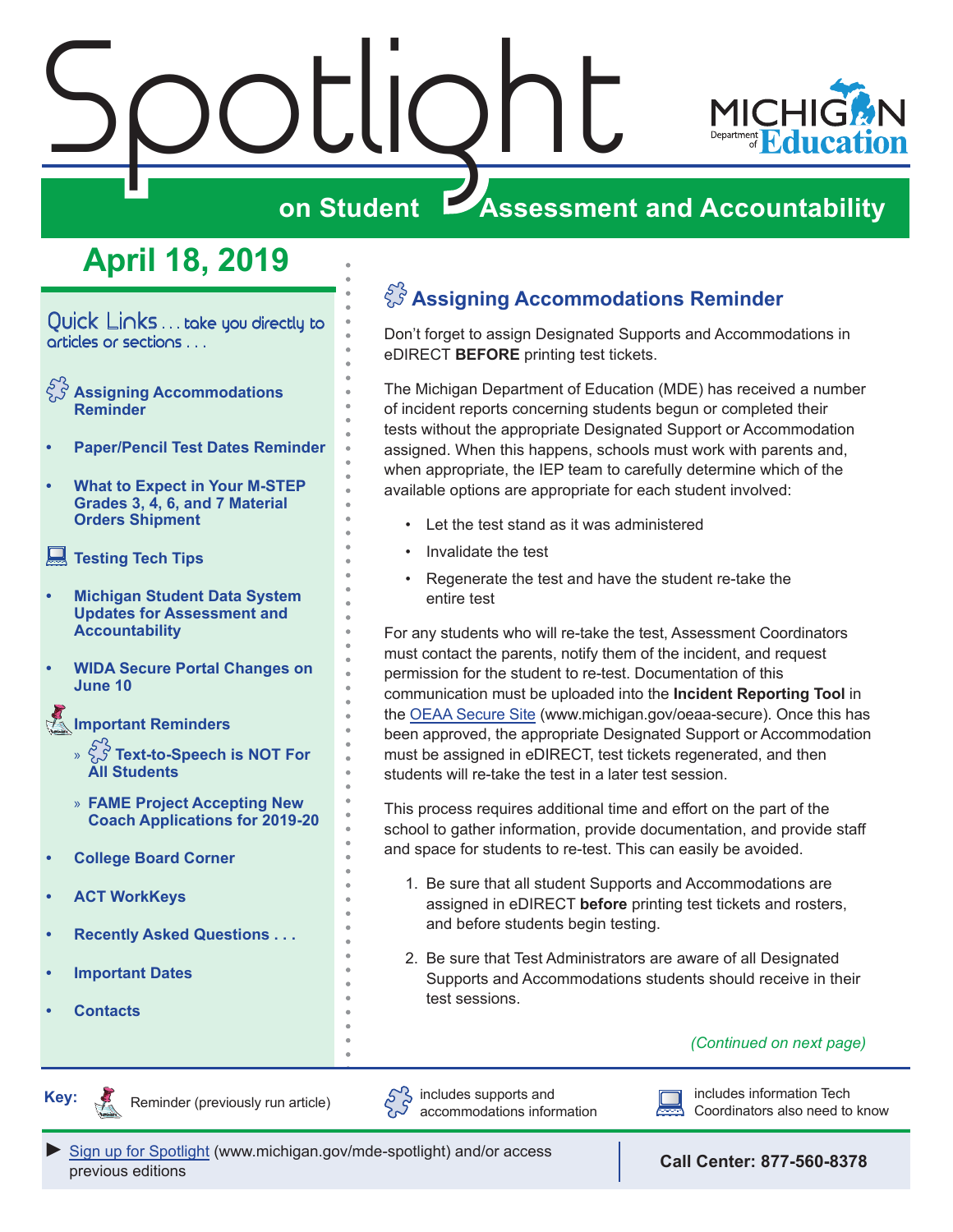# <span id="page-0-0"></span>Spotlight



# **on Student Assessment and Accountability**

# **April 18, 2019**

Quick Links . . . take you directly to articles or sections . . .

- **Assigning Accommodations Reminder**
- **• [Paper/Pencil Test Dates Reminder](#page-1-0)**
- **• [What to Expect in Your M-STEP](#page-1-0)  [Grades 3, 4, 6, and 7 Material](#page-1-0)  [Orders Shipment](#page-1-0)**
- **[Testing Tech Tips](#page-1-0)**
- **• [Michigan Student Data System](#page-1-0)  [Updates for Assessment and](#page-1-0)  [Accountability](#page-1-0)**
- **• [WIDA Secure Portal Changes on](#page-2-0)  [June 10](#page-2-0)**

Reminders **[Important Reminders](#page-3-0)**

- » **[Text-to-Speech is NOT For](#page-3-0)  [All Students](#page-3-0)**
- » **[FAME Project Accepting New](#page-4-0)  [Coach Applications for 2019-20](#page-4-0)**
- **• [College Board Corner](#page-5-0)**
- **• [ACT WorkKeys](#page-7-0)**
- **• [Recently Asked Questions . . .](#page-8-0)**
- **• [Important Dates](#page-10-0)**
- **• [Contacts](#page-12-0)**

Reminders

### **Assigning Accommodations Reminder**

Don't forget to assign Designated Supports and Accommodations in eDIRECT **BEFORE** printing test tickets.

The Michigan Department of Education (MDE) has received a number of incident reports concerning students begun or completed their tests without the appropriate Designated Support or Accommodation assigned. When this happens, schools must work with parents and, when appropriate, the IEP team to carefully determine which of the available options are appropriate for each student involved:

- Let the test stand as it was administered
- Invalidate the test
- Regenerate the test and have the student re-take the entire test

For any students who will re-take the test, Assessment Coordinators must contact the parents, notify them of the incident, and request permission for the student to re-test. Documentation of this communication must be uploaded into the **Incident Reporting Tool** in the [OEAA Secure Site](http://www.michigan.gov/oeaa-secure) (www.michigan.gov/oeaa-secure). Once this has been approved, the appropriate Designated Support or Accommodation must be assigned in eDIRECT, test tickets regenerated, and then students will re-take the test in a later test session.

This process requires additional time and effort on the part of the school to gather information, provide documentation, and provide staff and space for students to re-test. This can easily be avoided.

- 1. Be sure that all student Supports and Accommodations are assigned in eDIRECT **before** printing test tickets and rosters, and before students begin testing.
- 2. Be sure that Test Administrators are aware of all Designated Supports and Accommodations students should receive in their test sessions.

### *(Continued on next page)*





Reminder (previously run article)  $\begin{pmatrix} 52 \\ 3 \end{pmatrix}$  includes supports and  $\begin{pmatrix} 1 & 1 \\ 1 & 1 \end{pmatrix}$  includes information Tech includes supports and accommodations information



Coordinators also need to know

*►* [Sign up for Spotlight](https://public.govdelivery.com/accounts/MIMDE/subscriber/new) ([www.michigan.gov/mde-](www.michigan.gov/mde-spotlight)spotlight) and/or access previous editions **Call Center: 877-560-8378**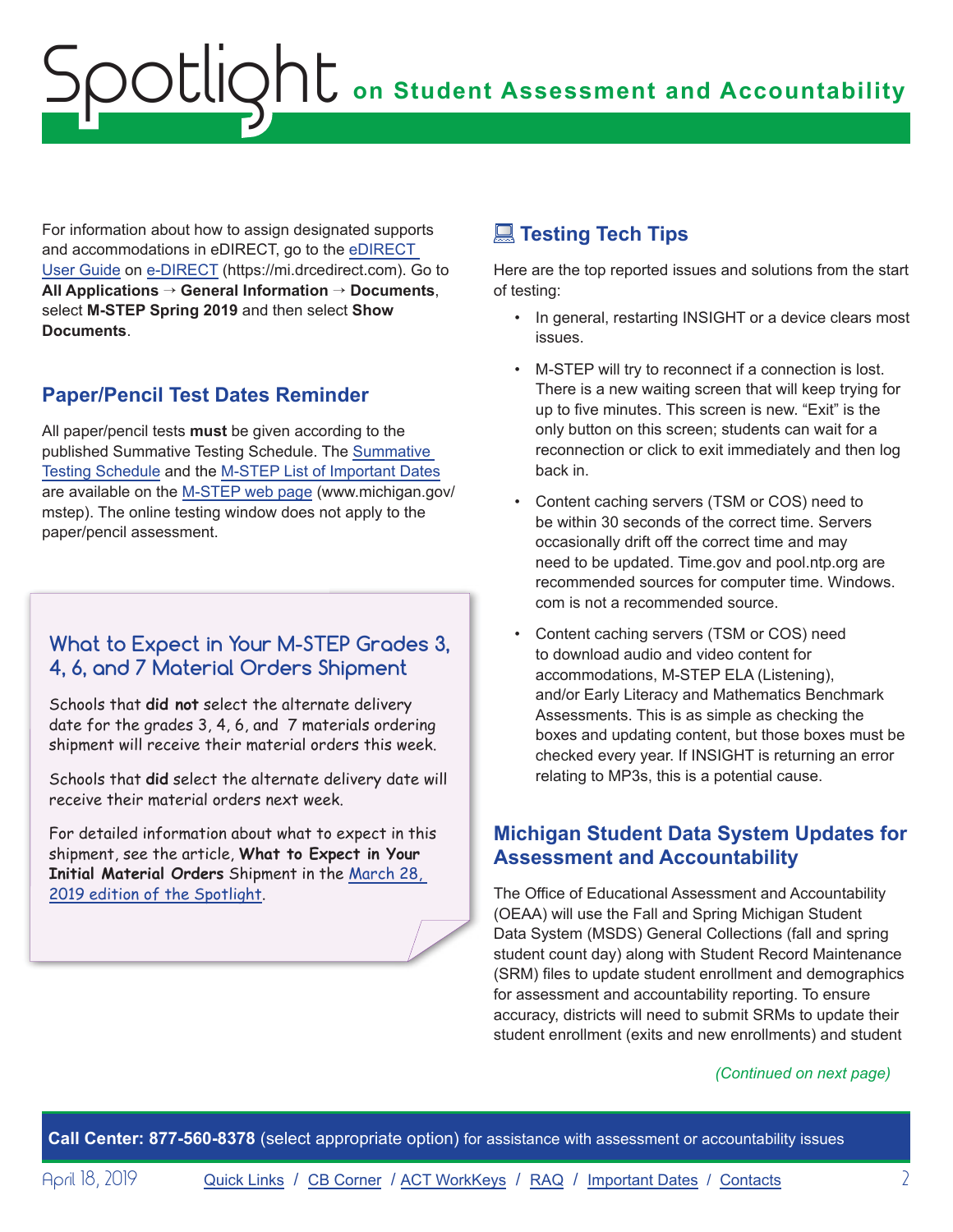<span id="page-1-0"></span>For information about how to assign designated supports and accommodations in eDIRECT, go to the [eDIRECT](https://mi.drcedirect.com/Documents/Unsecure/Doc.aspx?id=d0365d77-3c33-425b-8571-2fe03be0e55f)  [User Guide](https://mi.drcedirect.com/Documents/Unsecure/Doc.aspx?id=d0365d77-3c33-425b-8571-2fe03be0e55f) on [e-DIRECT](https://mi.drcedirect.com) (https://mi.drcedirect.com). Go to **All Applications** → **General Information** → **Documents**, select **M-STEP Spring 2019** and then select **Show Documents**.

### **Paper/Pencil Test Dates Reminder**

All paper/pencil tests **must** be given according to the published Summative Testing Schedule. The [Summative](https://www.michigan.gov/documents/mde/Testing_Schedule_for_Summative_Assessments_635008_7.pdf)  [Testing Schedule](https://www.michigan.gov/documents/mde/Testing_Schedule_for_Summative_Assessments_635008_7.pdf) and the [M-STEP List of Important Dates](https://www.michigan.gov/documents/mde/M-STEP_List_of_Important_Dates_634788_7.pdf) are available on the [M-STEP web page](www.michigan.gov/mstep) (www.michigan.gov/ mstep). The online testing window does not apply to the paper/pencil assessment.

### **What to Expect in Your M-STEP Grades 3, 4, 6, and 7 Material Orders Shipment**

Schools that **did not** select the alternate delivery date for the grades 3, 4, 6, and 7 materials ordering shipment will receive their material orders this week.

Schools that **did** select the alternate delivery date will receive their material orders next week.

For detailed information about what to expect in this shipment, see the article, **What to Expect in Your Initial Material Orders** Shipment in the [March 28,](https://www.michigan.gov/documents/mde/Spotlight_3-28-19_650667_7.pdf)  [2019 edition of the Spotlight](https://www.michigan.gov/documents/mde/Spotlight_3-28-19_650667_7.pdf).

### **Testing Tech Tips**

Here are the top reported issues and solutions from the start of testing:

- In general, restarting INSIGHT or a device clears most issues.
- M-STEP will try to reconnect if a connection is lost. There is a new waiting screen that will keep trying for up to five minutes. This screen is new. "Exit" is the only button on this screen; students can wait for a reconnection or click to exit immediately and then log back in.
- Content caching servers (TSM or COS) need to be within 30 seconds of the correct time. Servers occasionally drift off the correct time and may need to be updated. Time.gov and pool.ntp.org are recommended sources for computer time. Windows. com is not a recommended source.
- Content caching servers (TSM or COS) need to download audio and video content for accommodations, M-STEP ELA (Listening), and/or Early Literacy and Mathematics Benchmark Assessments. This is as simple as checking the boxes and updating content, but those boxes must be checked every year. If INSIGHT is returning an error relating to MP3s, this is a potential cause.

### **Michigan Student Data System Updates for Assessment and Accountability**

The Office of Educational Assessment and Accountability (OEAA) will use the Fall and Spring Michigan Student Data System (MSDS) General Collections (fall and spring student count day) along with Student Record Maintenance (SRM) files to update student enrollment and demographics for assessment and accountability reporting. To ensure accuracy, districts will need to submit SRMs to update their student enrollment (exits and new enrollments) and student

### *(Continued on next page)*

**Call Center: 877-560-8378** (select appropriate option) for assistance with assessment or accountability issues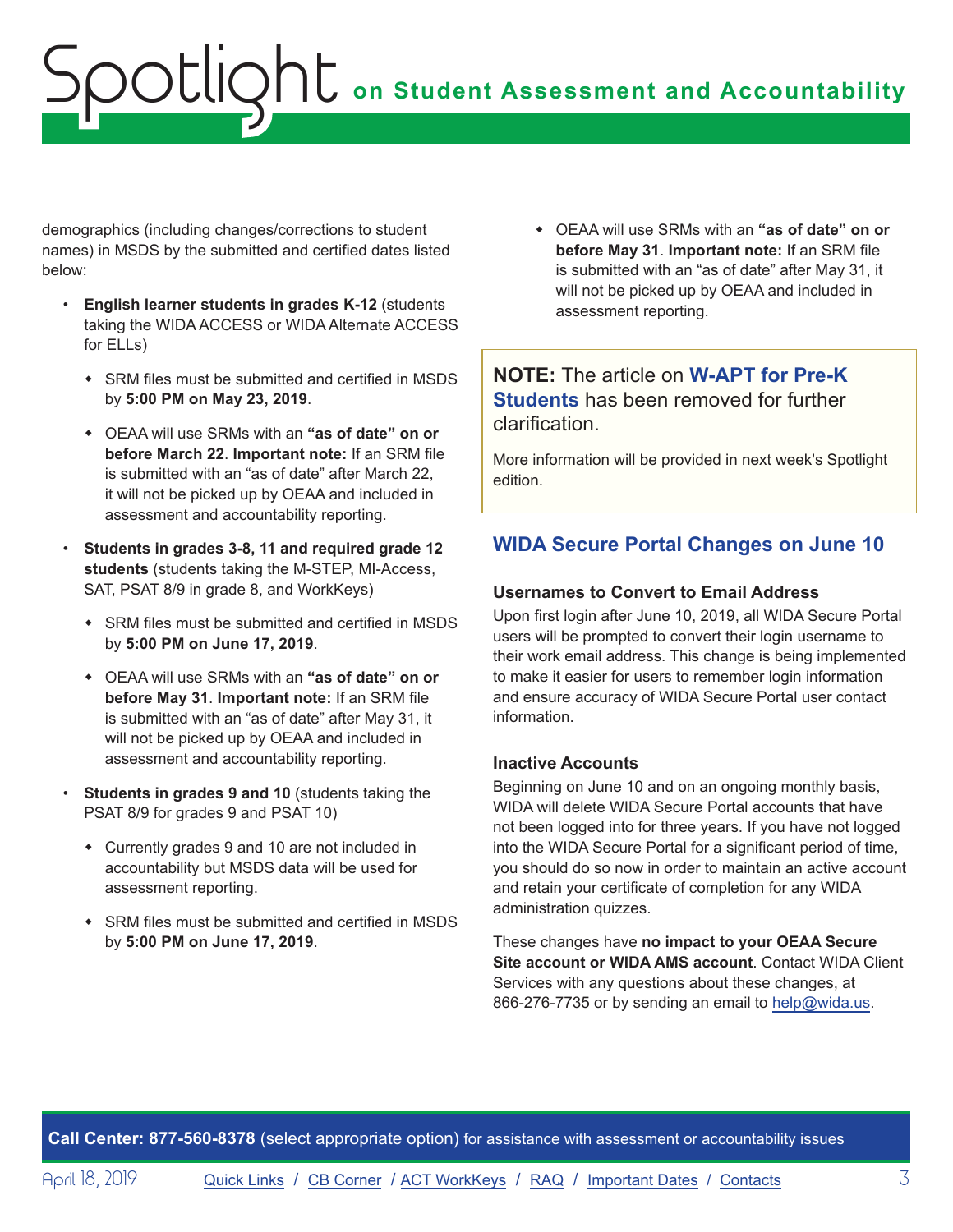<span id="page-2-0"></span>demographics (including changes/corrections to student names) in MSDS by the submitted and certified dates listed below:

- **English learner students in grades K-12** (students taking the WIDA ACCESS or WIDA Alternate ACCESS for ELLs)
	- SRM files must be submitted and certified in MSDS by **5:00 PM on May 23, 2019**.
	- ◆ OEAA will use SRMs with an "as of date" on or **before March 22**. **Important note:** If an SRM file is submitted with an "as of date" after March 22, it will not be picked up by OEAA and included in assessment and accountability reporting.
- **Students in grades 3-8, 11 and required grade 12 students** (students taking the M-STEP, MI-Access, SAT, PSAT 8/9 in grade 8, and WorkKeys)
	- SRM files must be submitted and certified in MSDS by **5:00 PM on June 17, 2019**.
	- w OEAA will use SRMs with an **"as of date" on or before May 31**. **Important note:** If an SRM file is submitted with an "as of date" after May 31, it will not be picked up by OEAA and included in assessment and accountability reporting.
- **Students in grades 9 and 10** (students taking the PSAT 8/9 for grades 9 and PSAT 10)
	- Currently grades 9 and 10 are not included in accountability but MSDS data will be used for assessment reporting.
	- SRM files must be submitted and certified in MSDS by **5:00 PM on June 17, 2019**.

w OEAA will use SRMs with an **"as of date" on or before May 31**. **Important note:** If an SRM file is submitted with an "as of date" after May 31, it will not be picked up by OEAA and included in assessment reporting.

### **NOTE:** The article on **W-APT for Pre-K Students** has been removed for further clarification.

More information will be provided in next week's Spotlight edition.

### **WIDA Secure Portal Changes on June 10**

### **Usernames to Convert to Email Address**

Upon first login after June 10, 2019, all WIDA Secure Portal users will be prompted to convert their login username to their work email address. This change is being implemented to make it easier for users to remember login information and ensure accuracy of WIDA Secure Portal user contact information.

### **Inactive Accounts**

Beginning on June 10 and on an ongoing monthly basis, WIDA will delete WIDA Secure Portal accounts that have not been logged into for three years. If you have not logged into the WIDA Secure Portal for a significant period of time, you should do so now in order to maintain an active account and retain your certificate of completion for any WIDA administration quizzes.

These changes have **no impact to your OEAA Secure Site account or WIDA AMS account**. Contact WIDA Client Services with any questions about these changes, at 866-276-7735 or by sending an email to [help@wida.us](mailto:help%40wida.us?subject=).

**Call Center: 877-560-8378** (select appropriate option) for assistance with assessment or accountability issues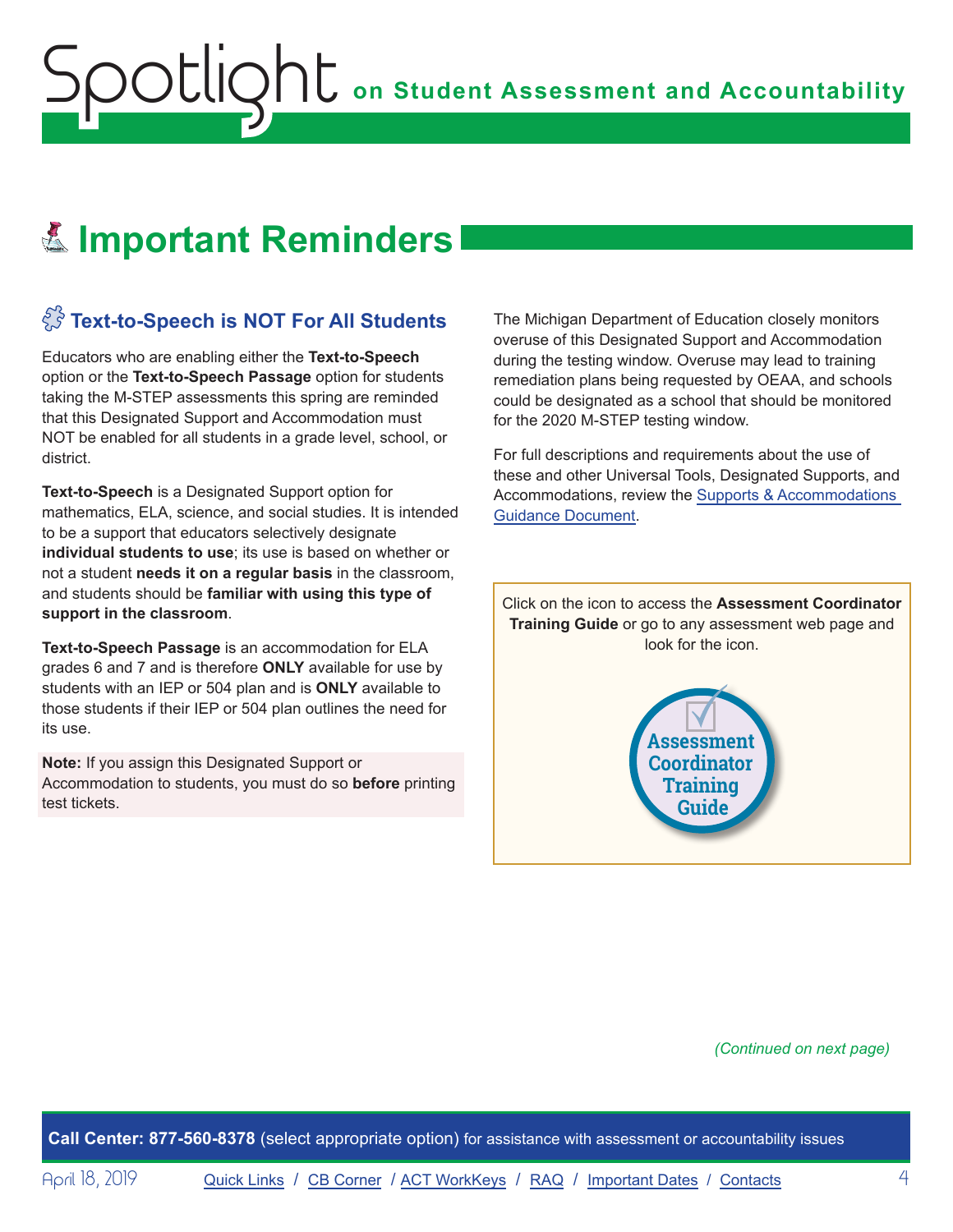# <span id="page-3-0"></span>Reminders **Important Reminders**

# $\sqrt[S]{3}$  Text-to-Speech is NOT For All Students

Educators who are enabling either the **Text-to-Speech** option or the **Text-to-Speech Passage** option for students taking the M-STEP assessments this spring are reminded that this Designated Support and Accommodation must NOT be enabled for all students in a grade level, school, or district.

**Text-to-Speech** is a Designated Support option for mathematics, ELA, science, and social studies. It is intended to be a support that educators selectively designate **individual students to use**; its use is based on whether or not a student **needs it on a regular basis** in the classroom, and students should be **familiar with using this type of support in the classroom**.

**Text-to-Speech Passage** is an accommodation for ELA grades 6 and 7 and is therefore **ONLY** available for use by students with an IEP or 504 plan and is **ONLY** available to those students if their IEP or 504 plan outlines the need for its use.

**Note:** If you assign this Designated Support or Accommodation to students, you must do so **before** printing test tickets.

The Michigan Department of Education closely monitors overuse of this Designated Support and Accommodation during the testing window. Overuse may lead to training remediation plans being requested by OEAA, and schools could be designated as a school that should be monitored for the 2020 M-STEP testing window.

For full descriptions and requirements about the use of these and other Universal Tools, Designated Supports, and Accommodations, review the [Supports & Accommodations](https://www.michigan.gov/documents/mde/Michigan_Accommodations_Manual.final_480016_7.pdf)  [Guidance Document](https://www.michigan.gov/documents/mde/Michigan_Accommodations_Manual.final_480016_7.pdf).

Click on the icon to access the **Assessment Coordinator Training Guide** or go to any assessment web page and look for the icon.



*(Continued on next page)*

**Call Center: 877-560-8378** (select appropriate option) for assistance with assessment or accountability issues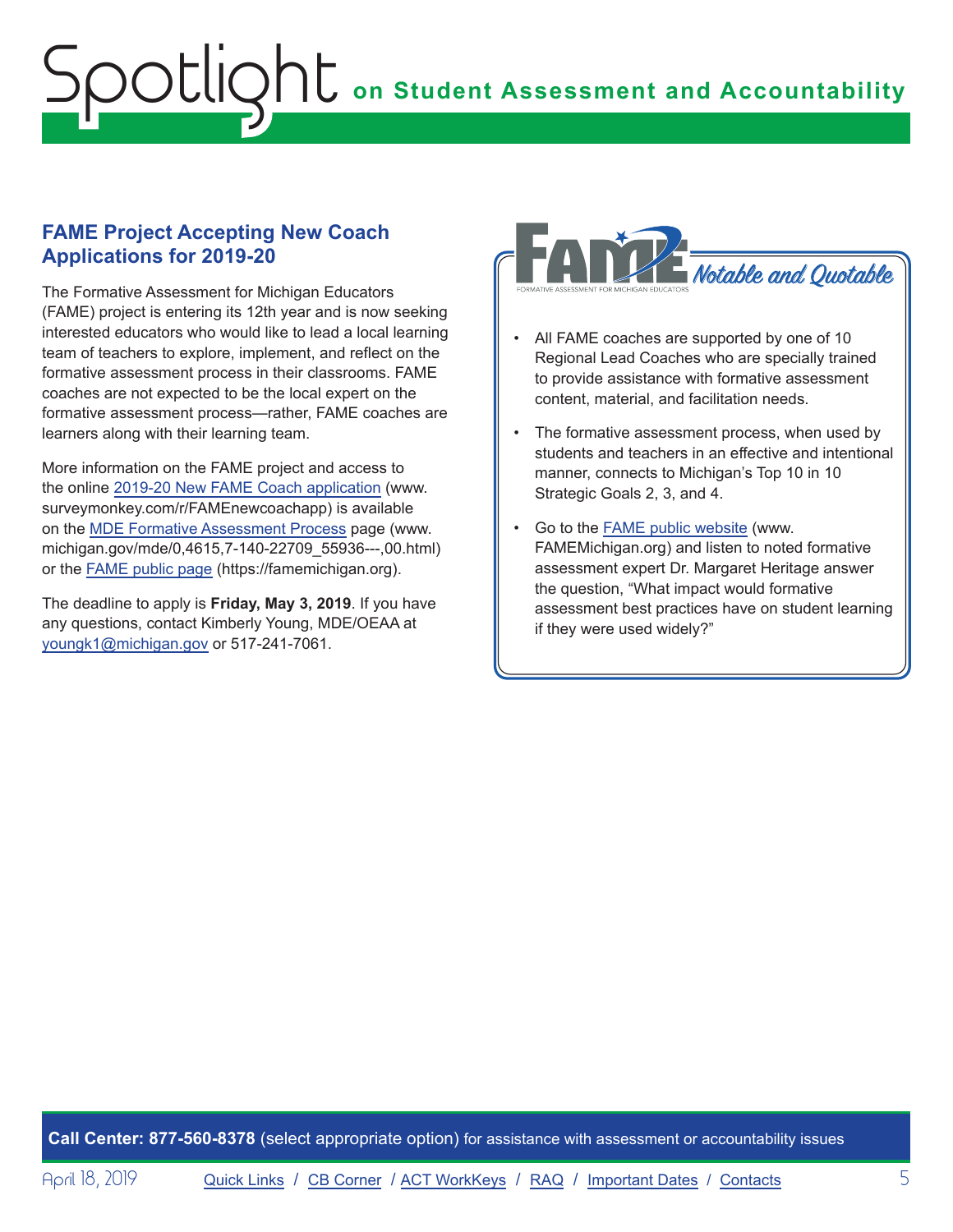### <span id="page-4-0"></span>**FAME Project Accepting New Coach Applications for 2019-20**

The Formative Assessment for Michigan Educators (FAME) project is entering its 12th year and is now seeking interested educators who would like to lead a local learning team of teachers to explore, implement, and reflect on the formative assessment process in their classrooms. FAME coaches are not expected to be the local expert on the formative assessment process—rather, FAME coaches are learners along with their learning team.

More information on the FAME project and access to the online [2019-20 New FAME Coach application](https://www.surveymonkey.com/r/FAMEnewcoachapp) (www. surveymonkey.com/r/FAMEnewcoachapp) is available on the [MDE Formative Assessment Process](https://www.michigan.gov/mde/0,4615,7-140-22709_55936---,00.html) page (www. michigan.gov/mde/0,4615,7-140-22709\_55936---,00.html) or the FAME [public page](https://famemichigan.org/) (https://famemichigan.org).

The deadline to apply is **Friday, May 3, 2019**. If you have any questions, contact Kimberly Young, MDE/OEAA at [youngk1@michigan.gov](mailto:youngk1%40michigan.gov?subject=) or 517-241-7061.



- All FAME coaches are supported by one of 10 Regional Lead Coaches who are specially trained to provide assistance with formative assessment content, material, and facilitation needs.
- The formative assessment process, when used by students and teachers in an effective and intentional manner, connects to Michigan's Top 10 in 10 Strategic Goals 2, 3, and 4.
- Go to the [FAME public website](http://www.FAMEMichigan.org) (www. FAMEMichigan.org) and listen to noted formative assessment expert Dr. Margaret Heritage answer the question, "What impact would formative assessment best practices have on student learning if they were used widely?"

**Call Center: 877-560-8378** (select appropriate option) for assistance with assessment or accountability issues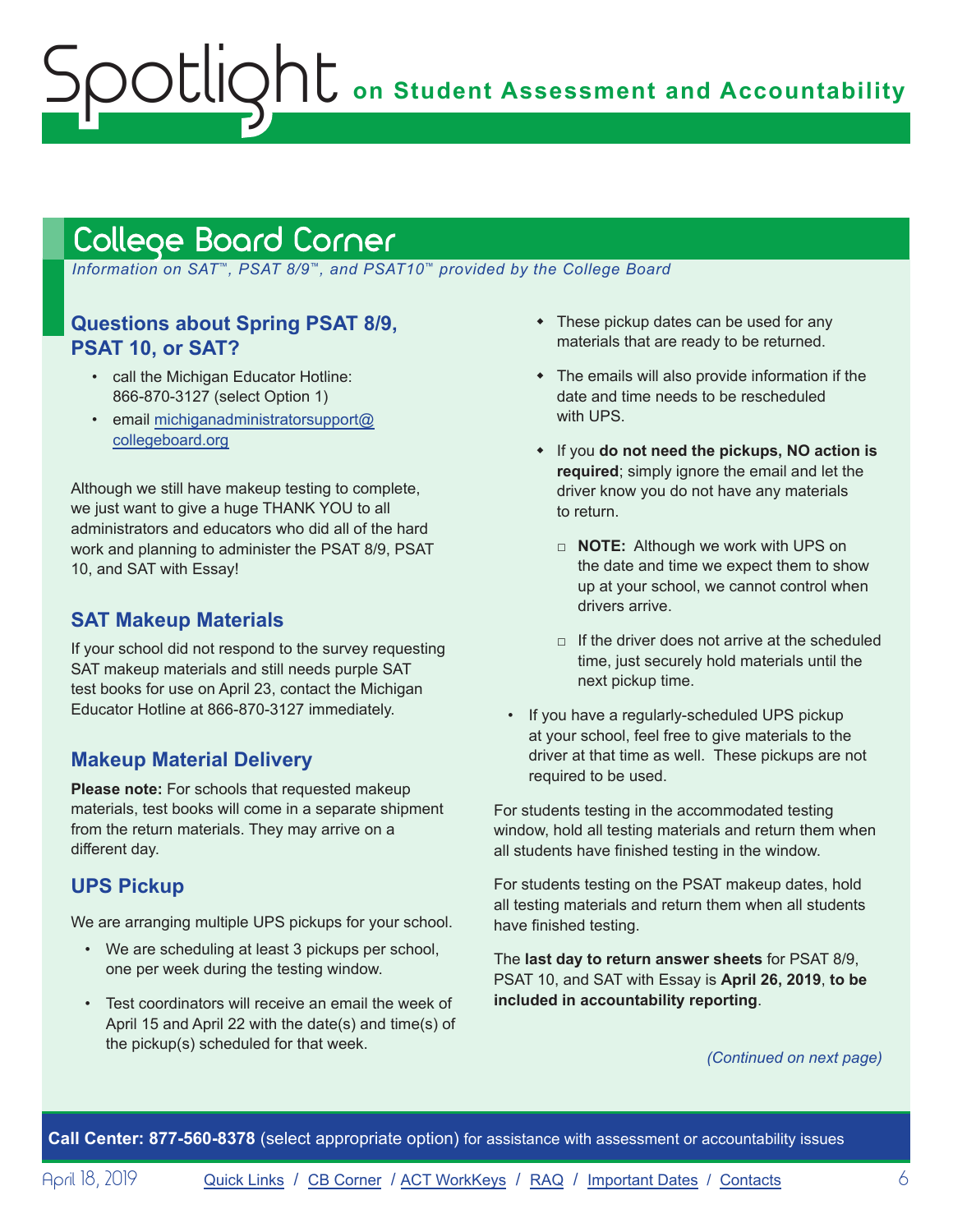# <span id="page-5-1"></span>College Board Corner

<span id="page-5-0"></span>Spotlight

 *Information on SAT*™*, PSAT 8/9*™*, and PSAT10*™ *provided by the College Board*

### **Questions about Spring PSAT 8/9, PSAT 10, or SAT?**

- call the Michigan Educator Hotline: 866-870-3127 (select Option 1)
- email [michiganadministratorsupport@](mailto:michiganadministratorsupport%40collegeboard.org?subject=) [collegeboard.org](mailto:michiganadministratorsupport%40collegeboard.org?subject=)

Although we still have makeup testing to complete, we just want to give a huge THANK YOU to all administrators and educators who did all of the hard work and planning to administer the PSAT 8/9, PSAT 10, and SAT with Essay!

### **SAT Makeup Materials**

If your school did not respond to the survey requesting SAT makeup materials and still needs purple SAT test books for use on April 23, contact the Michigan Educator Hotline at 866-870-3127 immediately.

### **Makeup Material Delivery**

**Please note:** For schools that requested makeup materials, test books will come in a separate shipment from the return materials. They may arrive on a different day.

### **UPS Pickup**

We are arranging multiple UPS pickups for your school.

- We are scheduling at least 3 pickups per school, one per week during the testing window.
- Test coordinators will receive an email the week of April 15 and April 22 with the date(s) and time(s) of the pickup(s) scheduled for that week.
- $\bullet$  These pickup dates can be used for any materials that are ready to be returned.
- $\bullet$  The emails will also provide information if the date and time needs to be rescheduled with UPS.
- w If you **do not need the pickups, NO action is required**; simply ignore the email and let the driver know you do not have any materials to return.
	- □ **NOTE:** Although we work with UPS on the date and time we expect them to show up at your school, we cannot control when drivers arrive.
	- $\Box$  If the driver does not arrive at the scheduled time, just securely hold materials until the next pickup time.
- If you have a regularly-scheduled UPS pickup at your school, feel free to give materials to the driver at that time as well. These pickups are not required to be used.

For students testing in the accommodated testing window, hold all testing materials and return them when all students have finished testing in the window.

For students testing on the PSAT makeup dates, hold all testing materials and return them when all students have finished testing.

The **last day to return answer sheets** for PSAT 8/9, PSAT 10, and SAT with Essay is **April 26, 2019**, **to be included in accountability reporting**.

#### *(Continued on next page)*

**Call Center: 877-560-8378** (select appropriate option) for assistance with assessment or accountability issues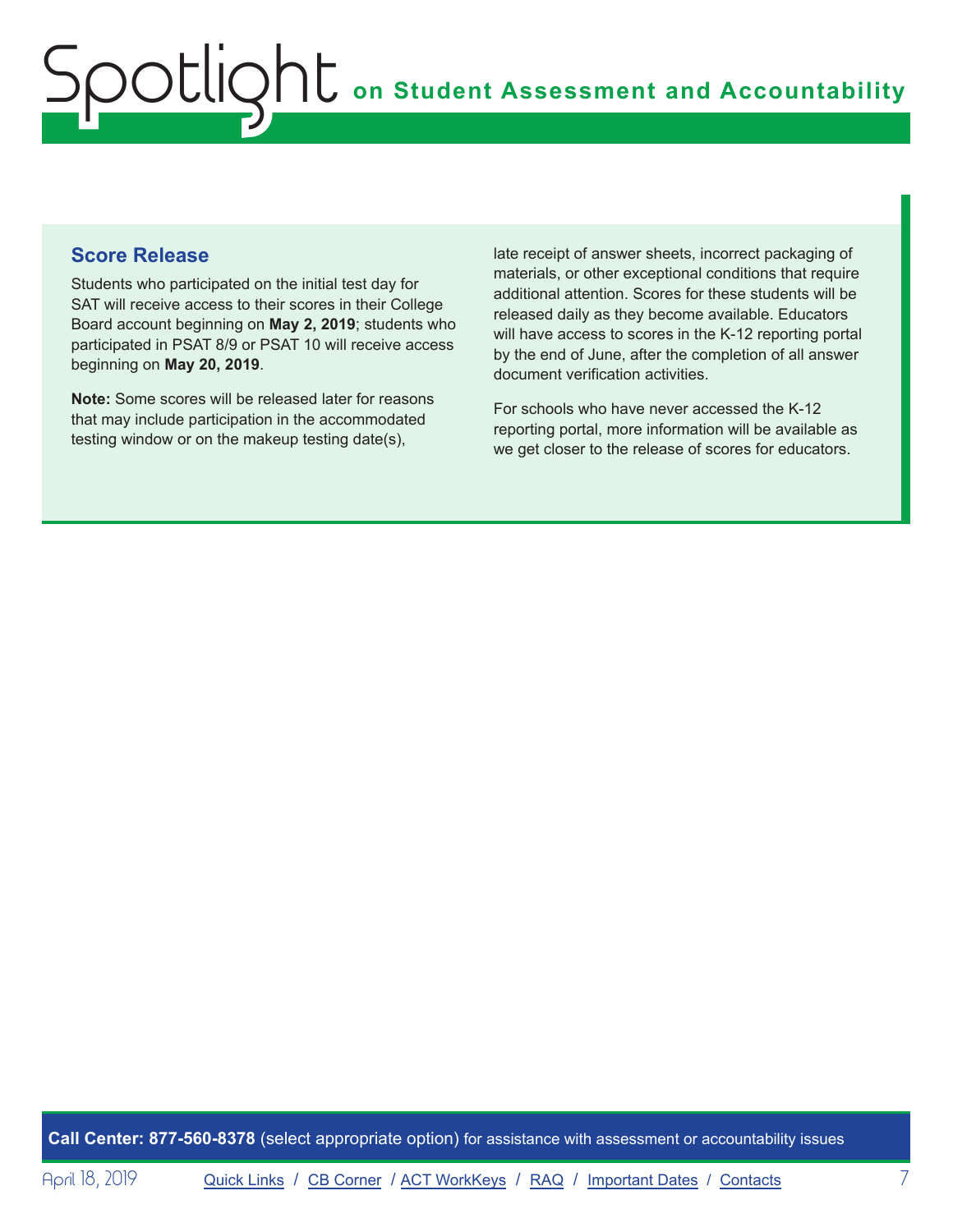### **Score Release**

Students who participated on the initial test day for SAT will receive access to their scores in their College Board account beginning on **May 2, 2019**; students who participated in PSAT 8/9 or PSAT 10 will receive access beginning on **May 20, 2019**.

**Note:** Some scores will be released later for reasons that may include participation in the accommodated testing window or on the makeup testing date(s),

late receipt of answer sheets, incorrect packaging of materials, or other exceptional conditions that require additional attention. Scores for these students will be released daily as they become available. Educators will have access to scores in the K-12 reporting portal by the end of June, after the completion of all answer document verification activities.

For schools who have never accessed the K-12 reporting portal, more information will be available as we get closer to the release of scores for educators.

**Call Center: 877-560-8378** (select appropriate option) for assistance with assessment or accountability issues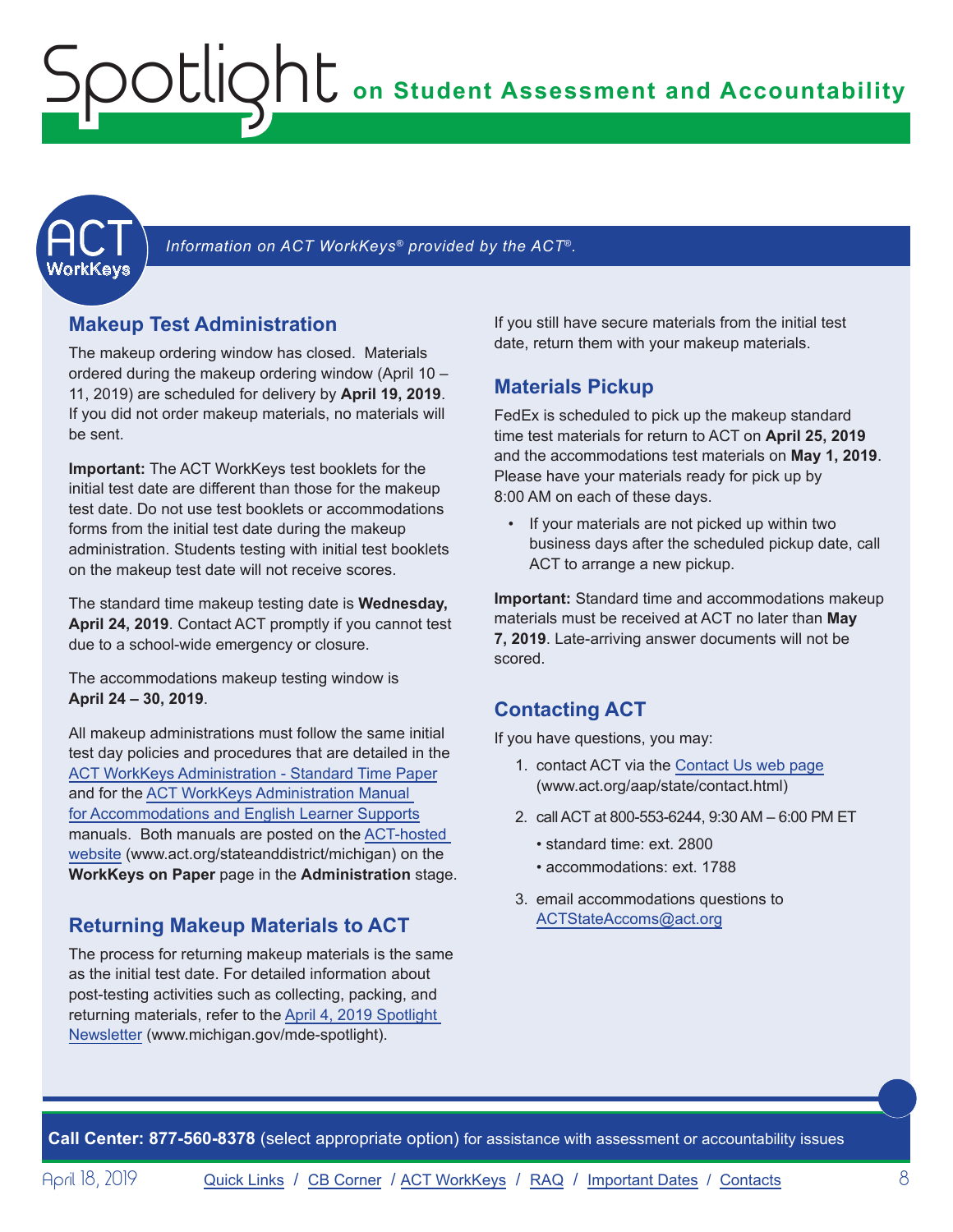<span id="page-7-1"></span><span id="page-7-0"></span>

Information on ACT WorkKeys<sup>®</sup> provided by the ACT®.

### **Makeup Test Administration**

The makeup ordering window has closed. Materials ordered during the makeup ordering window (April 10 – 11, 2019) are scheduled for delivery by **April 19, 2019**. If you did not order makeup materials, no materials will be sent.

**Important:** The ACT WorkKeys test booklets for the initial test date are different than those for the makeup test date. Do not use test booklets or accommodations forms from the initial test date during the makeup administration. Students testing with initial test booklets on the makeup test date will not receive scores.

The standard time makeup testing date is **Wednesday, April 24, 2019**. Contact ACT promptly if you cannot test due to a school-wide emergency or closure.

The accommodations makeup testing window is **April 24 – 30, 2019**.

All makeup administrations must follow the same initial test day policies and procedures that are detailed in the [ACT WorkKeys Administration - Standard Time Paper](http://www.act.org/content/dam/act/secured/documents/pdfs/WK-Admin-SD-Std-Time-Paper-Secured.pdf) and for the [ACT WorkKeys Administration Manual](http://www.act.org/content/dam/act/secured/documents/pdfs/WK-Admin-SD-Accoms-Secured.pdf)  [for Accommodations and English Learner Supports](http://www.act.org/content/dam/act/secured/documents/pdfs/WK-Admin-SD-Accoms-Secured.pdf) manuals. Both manuals are posted on the [ACT-hosted](http://www.act.org/stateanddistrict/michigan)  [website](http://www.act.org/stateanddistrict/michigan) (www.act.org/stateanddistrict/michigan) on the **WorkKeys on Paper** page in the **Administration** stage.

### **Returning Makeup Materials to ACT**

The process for returning makeup materials is the same as the initial test date. For detailed information about post-testing activities such as collecting, packing, and returning materials, refer to the [April 4, 2019 Spotlight](https://www.michigan.gov/documents/mde/Spotlight_4-4-19_651703_7.pdf)  [Newsletter](https://www.michigan.gov/documents/mde/Spotlight_4-4-19_651703_7.pdf) (www.michigan.gov/mde-spotlight).

If you still have secure materials from the initial test date, return them with your makeup materials.

### **Materials Pickup**

FedEx is scheduled to pick up the makeup standard time test materials for return to ACT on **April 25, 2019** and the accommodations test materials on **May 1, 2019**. Please have your materials ready for pick up by 8:00 AM on each of these days.

If your materials are not picked up within two business days after the scheduled pickup date, call ACT to arrange a new pickup.

**Important:** Standard time and accommodations makeup materials must be received at ACT no later than **May 7, 2019**. Late-arriving answer documents will not be scored.

### **Contacting ACT**

If you have questions, you may:

- 1. contact ACT via the [Contact Us web page](http://www.act.org/aap/state/contact.html) (<www.act.org/aap/state/contact.html>)
- 2. call ACT at 800-553-6244, 9:30 AM 6:00 PM ET
	- standard time: ext. 2800
	- accommodations: ext. 1788
- 3. email accommodations questions to [ACTStateAccoms@act.org](mailto:ACTStateAccoms%40act.org?subject=)

**Call Center: 877-560-8378** (select appropriate option) for assistance with assessment or accountability issues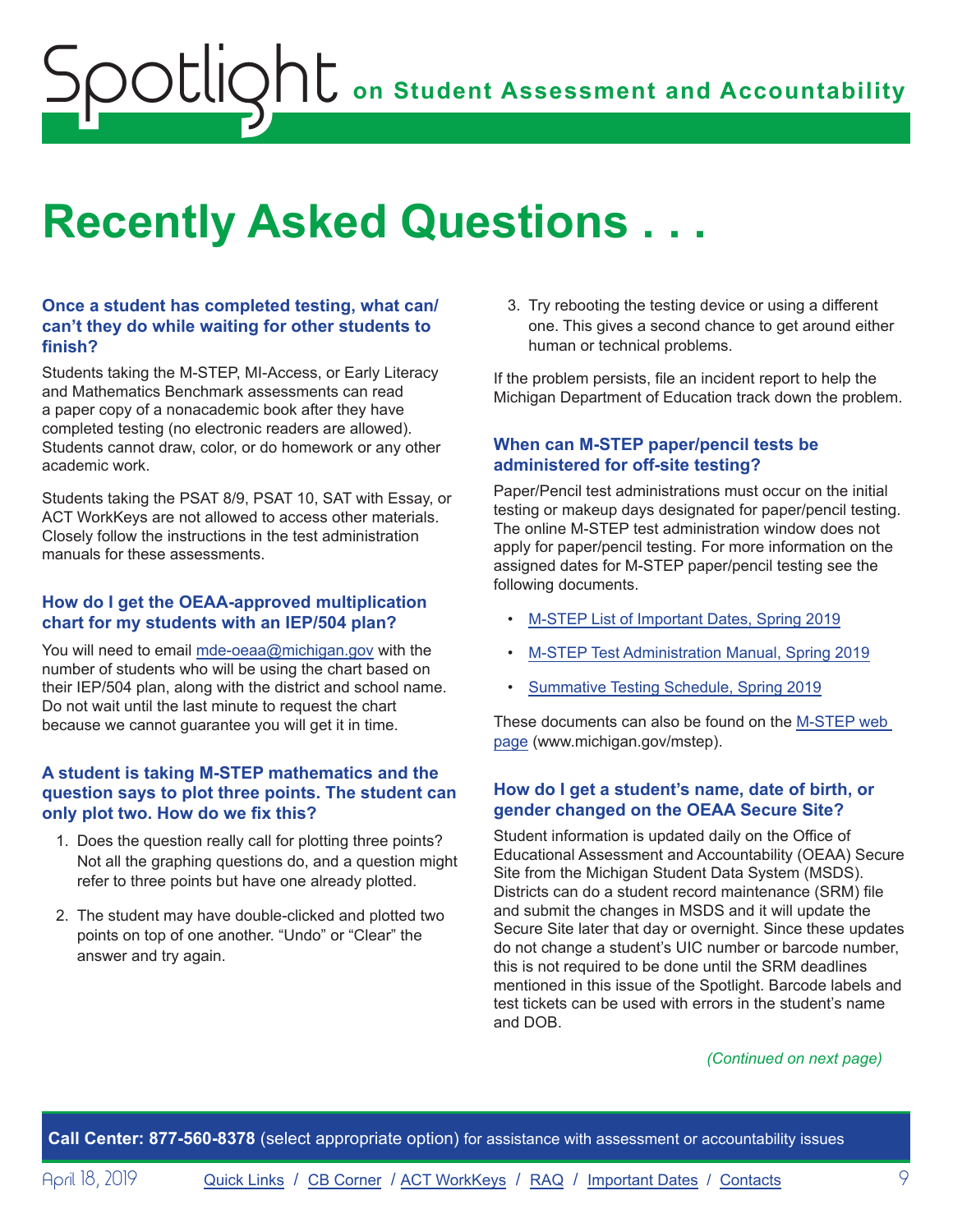# <span id="page-8-0"></span>**Recently Asked Questions . . .**

### **Once a student has completed testing, what can/ can't they do while waiting for other students to finish?**

Students taking the M-STEP, MI-Access, or Early Literacy and Mathematics Benchmark assessments can read a paper copy of a nonacademic book after they have completed testing (no electronic readers are allowed). Students cannot draw, color, or do homework or any other academic work.

Students taking the PSAT 8/9, PSAT 10, SAT with Essay, or ACT WorkKeys are not allowed to access other materials. Closely follow the instructions in the test administration manuals for these assessments.

### **How do I get the OEAA-approved multiplication chart for my students with an IEP/504 plan?**

You will need to email [mde-oeaa@michigan.gov](mailto:mde-oeaa%40michigan.gov?subject=) with the number of students who will be using the chart based on their IEP/504 plan, along with the district and school name. Do not wait until the last minute to request the chart because we cannot guarantee you will get it in time.

### **A student is taking M-STEP mathematics and the question says to plot three points. The student can only plot two. How do we fix this?**

- 1. Does the question really call for plotting three points? Not all the graphing questions do, and a question might refer to three points but have one already plotted.
- 2. The student may have double-clicked and plotted two points on top of one another. "Undo" or "Clear" the answer and try again.

3. Try rebooting the testing device or using a different one. This gives a second chance to get around either human or technical problems.

If the problem persists, file an incident report to help the Michigan Department of Education track down the problem.

### **When can M-STEP paper/pencil tests be administered for off-site testing?**

Paper/Pencil test administrations must occur on the initial testing or makeup days designated for paper/pencil testing. The online M-STEP test administration window does not apply for paper/pencil testing. For more information on the assigned dates for M-STEP paper/pencil testing see the following documents.

- [M-STEP List of Important Dates,](https://www.michigan.gov/documents/mde/M-STEP_List_of_Important_Dates_634788_7.pdf) Spring 2019
- [M-STEP Test Administration Manual, Spring 2019](https://www.michigan.gov/documents/mde/M-STEP_Test_Administration_Manual_630729_7.pdf)
- [Summative Testing Schedule, Spring 2019](https://www.michigan.gov/documents/mde/Testing_Schedule_for_Summative_Assessments_635008_7.pdf)

These documents can also be found on the [M-STEP web](www.michigan.gov/mstep)  [page](www.michigan.gov/mstep) (www.michigan.gov/mstep).

### **How do I get a student's name, date of birth, or gender changed on the OEAA Secure Site?**

Student information is updated daily on the Office of Educational Assessment and Accountability (OEAA) Secure Site from the Michigan Student Data System (MSDS). Districts can do a student record maintenance (SRM) file and submit the changes in MSDS and it will update the Secure Site later that day or overnight. Since these updates do not change a student's UIC number or barcode number, this is not required to be done until the SRM deadlines mentioned in this issue of the Spotlight. Barcode labels and test tickets can be used with errors in the student's name and DOB.

### *(Continued on next page)*

**Call Center: 877-560-8378** (select appropriate option) for assistance with assessment or accountability issues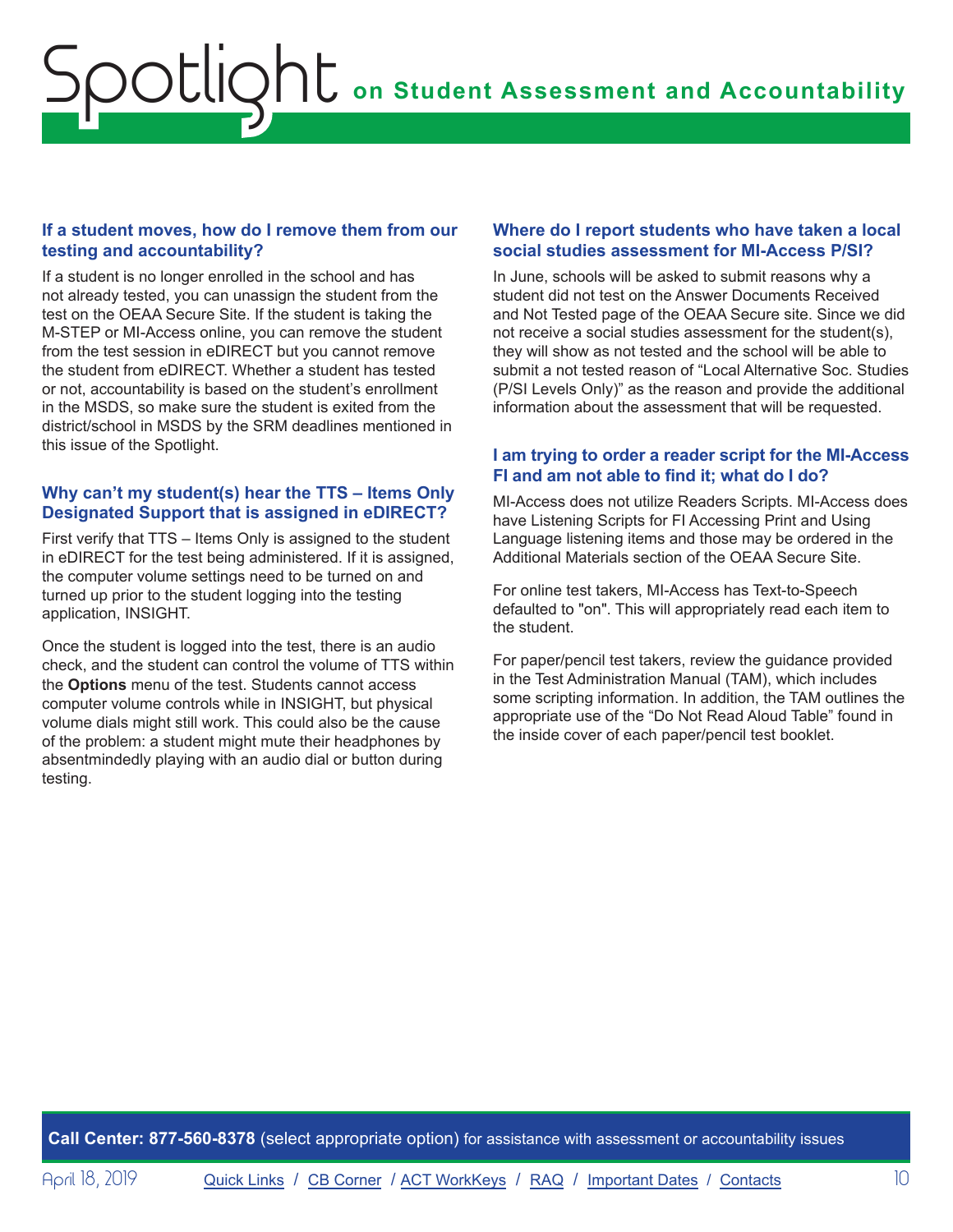### **If a student moves, how do I remove them from our testing and accountability?**

If a student is no longer enrolled in the school and has not already tested, you can unassign the student from the test on the OEAA Secure Site. If the student is taking the M-STEP or MI-Access online, you can remove the student from the test session in eDIRECT but you cannot remove the student from eDIRECT. Whether a student has tested or not, accountability is based on the student's enrollment in the MSDS, so make sure the student is exited from the district/school in MSDS by the SRM deadlines mentioned in this issue of the Spotlight.

### **Why can't my student(s) hear the TTS – Items Only Designated Support that is assigned in eDIRECT?**

First verify that TTS – Items Only is assigned to the student in eDIRECT for the test being administered. If it is assigned, the computer volume settings need to be turned on and turned up prior to the student logging into the testing application, INSIGHT.

Once the student is logged into the test, there is an audio check, and the student can control the volume of TTS within the **Options** menu of the test. Students cannot access computer volume controls while in INSIGHT, but physical volume dials might still work. This could also be the cause of the problem: a student might mute their headphones by absentmindedly playing with an audio dial or button during testing.

### **Where do I report students who have taken a local social studies assessment for MI-Access P/SI?**

In June, schools will be asked to submit reasons why a student did not test on the Answer Documents Received and Not Tested page of the OEAA Secure site. Since we did not receive a social studies assessment for the student(s), they will show as not tested and the school will be able to submit a not tested reason of "Local Alternative Soc. Studies (P/SI Levels Only)" as the reason and provide the additional information about the assessment that will be requested.

### **I am trying to order a reader script for the MI-Access FI and am not able to find it; what do I do?**

MI-Access does not utilize Readers Scripts. MI-Access does have Listening Scripts for FI Accessing Print and Using Language listening items and those may be ordered in the Additional Materials section of the OEAA Secure Site.

For online test takers, MI-Access has Text-to-Speech defaulted to "on". This will appropriately read each item to the student.

For paper/pencil test takers, review the guidance provided in the Test Administration Manual (TAM), which includes some scripting information. In addition, the TAM outlines the appropriate use of the "Do Not Read Aloud Table" found in the inside cover of each paper/pencil test booklet.

**Call Center: 877-560-8378** (select appropriate option) for assistance with assessment or accountability issues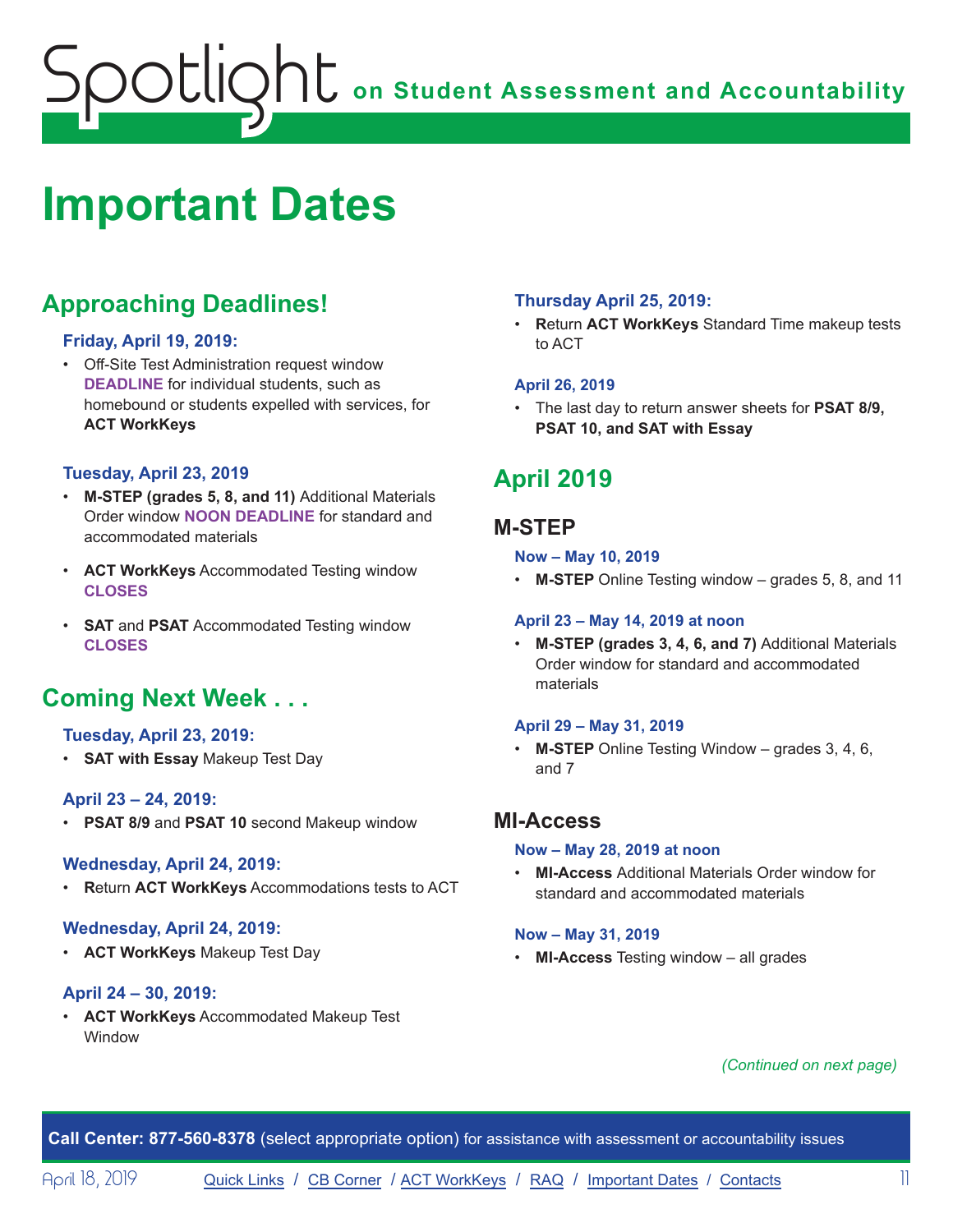# <span id="page-10-1"></span><span id="page-10-0"></span>**Important Dates**

# **Approaching Deadlines!**

### **Friday, April 19, 2019:**

• Off-Site Test Administration request window **DEADLINE** for individual students, such as homebound or students expelled with services, for **ACT WorkKeys**

### **Tuesday, April 23, 2019**

- **M-STEP (grades 5, 8, and 11)** Additional Materials Order window **NOON DEADLINE** for standard and accommodated materials
- **ACT WorkKeys** Accommodated Testing window **CLOSES**
- **SAT** and **PSAT** Accommodated Testing window **CLOSES**

### **Coming Next Week . . .**

### **Tuesday, April 23, 2019:**

• **SAT with Essay** Makeup Test Day

### **April 23 – 24, 2019:**

• **PSAT 8/9** and **PSAT 10** second Makeup window

#### **Wednesday, April 24, 2019:**

• **R**eturn **ACT WorkKeys** Accommodations tests to ACT

### **Wednesday, April 24, 2019:**

• **ACT WorkKeys** Makeup Test Day

### **April 24 – 30, 2019:**

• **ACT WorkKeys** Accommodated Makeup Test Window

### **Thursday April 25, 2019:**

• **R**eturn **ACT WorkKeys** Standard Time makeup tests to ACT

### **April 26, 2019**

• The last day to return answer sheets for **PSAT 8/9, PSAT 10, and SAT with Essay**

## **April 2019**

### **M-STEP**

### **Now – May 10, 2019**

• **M-STEP** Online Testing window – grades 5, 8, and 11

#### **April 23 – May 14, 2019 at noon**

• **M-STEP (grades 3, 4, 6, and 7)** Additional Materials Order window for standard and accommodated materials

#### **April 29 – May 31, 2019**

• **M-STEP** Online Testing Window – grades 3, 4, 6, and 7

### **MI-Access**

#### **Now – May 28, 2019 at noon**

• **MI-Access** Additional Materials Order window for standard and accommodated materials

#### **Now – May 31, 2019**

• **MI-Access** Testing window – all grades

### *(Continued on next page)*

**Call Center: 877-560-8378** (select appropriate option) for assistance with assessment or accountability issues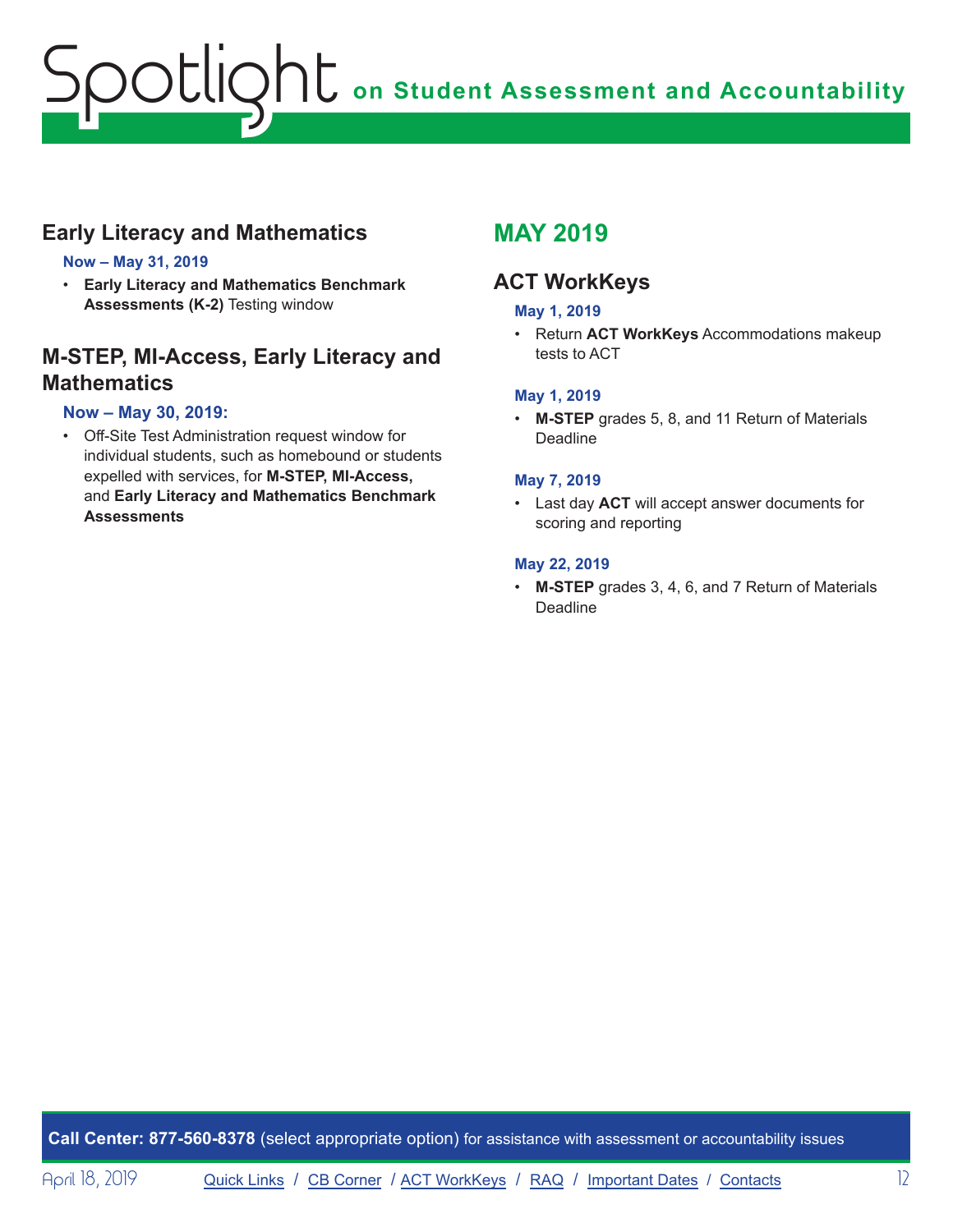### **Early Literacy and Mathematics**

### **Now – May 31, 2019**

• **Early Literacy and Mathematics Benchmark Assessments (K-2)** Testing window

### **M-STEP, MI-Access, Early Literacy and Mathematics**

### **Now – May 30, 2019:**

• Off-Site Test Administration request window for individual students, such as homebound or students expelled with services, for **M-STEP, MI-Access,**  and **Early Literacy and Mathematics Benchmark Assessments**

### **MAY 2019**

### **ACT WorkKeys**

### **May 1, 2019**

• Return **ACT WorkKeys** Accommodations makeup tests to ACT

### **May 1, 2019**

• **M-STEP** grades 5, 8, and 11 Return of Materials Deadline

#### **May 7, 2019**

• Last day **ACT** will accept answer documents for scoring and reporting

#### **May 22, 2019**

• **M-STEP** grades 3, 4, 6, and 7 Return of Materials **Deadline** 

**Call Center: 877-560-8378** (select appropriate option) for assistance with assessment or accountability issues